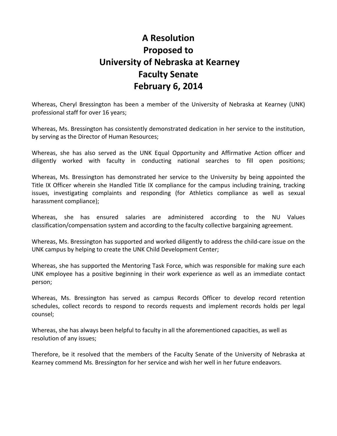## **A Resolution Proposed to University of Nebraska at Kearney Faculty Senate February 6, 2014**

Whereas, Cheryl Bressington has been a member of the University of Nebraska at Kearney (UNK) professional staff for over 16 years;

Whereas, Ms. Bressington has consistently demonstrated dedication in her service to the institution, by serving as the Director of Human Resources;

Whereas, she has also served as the UNK Equal Opportunity and Affirmative Action officer and diligently worked with faculty in conducting national searches to fill open positions;

Whereas, Ms. Bressington has demonstrated her service to the University by being appointed the Title IX Officer wherein she Handled Title IX compliance for the campus including training, tracking issues, investigating complaints and responding (for Athletics compliance as well as sexual harassment compliance);

Whereas, she has ensured salaries are administered according to the NU Values classification/compensation system and according to the faculty collective bargaining agreement.

Whereas, Ms. Bressington has supported and worked diligently to address the child-care issue on the UNK campus by helping to create the UNK Child Development Center;

Whereas, she has supported the Mentoring Task Force, which was responsible for making sure each UNK employee has a positive beginning in their work experience as well as an immediate contact person;

Whereas, Ms. Bressington has served as campus Records Officer to develop record retention schedules, collect records to respond to records requests and implement records holds per legal counsel;

Whereas, she has always been helpful to faculty in all the aforementioned capacities, as well as resolution of any issues;

Therefore, be it resolved that the members of the Faculty Senate of the University of Nebraska at Kearney commend Ms. Bressington for her service and wish her well in her future endeavors.